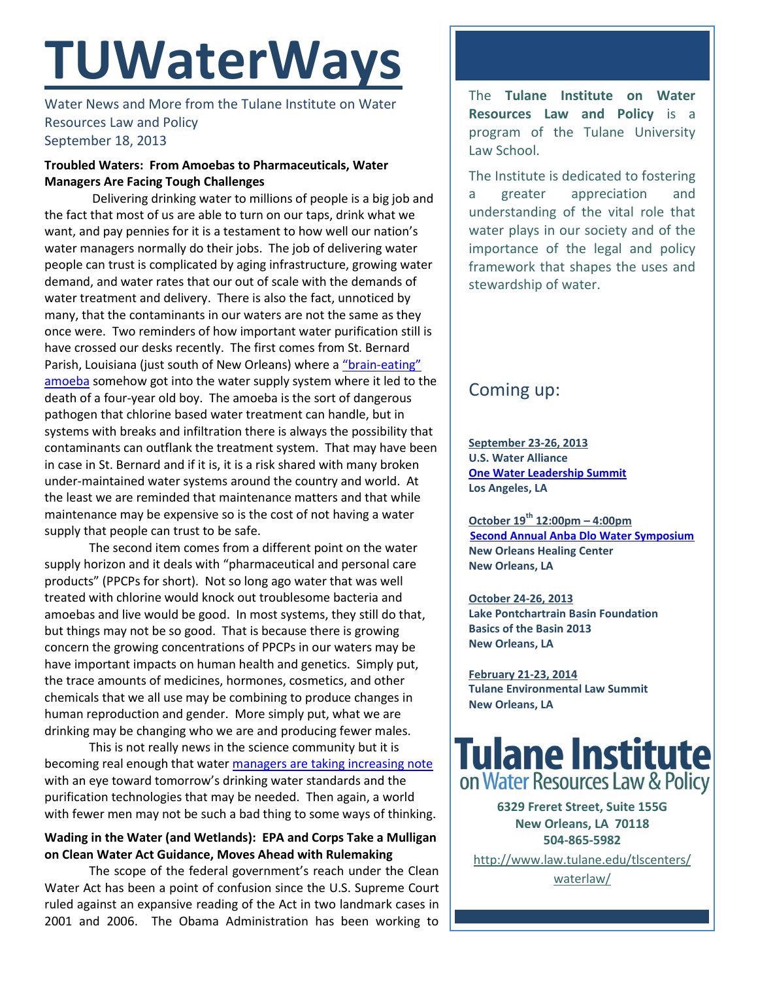# **TUWaterWays**

Water News and More from the Tulane Institute on Water Resources Law and Policy September 18, 2013

## **Troubled Waters: From Amoebas to Pharmaceuticals, Water Managers Are Facing Tough Challenges**

Delivering drinking water to millions of people is a big job and the fact that most of us are able to turn on our taps, drink what we want, and pay pennies for it is a testament to how well our nation's water managers normally do their jobs. The job of delivering water people can trust is complicated by aging infrastructure, growing water demand, and water rates that our out of scale with the demands of water treatment and delivery. There is also the fact, unnoticed by many, that the contaminants in our waters are not the same as they once were. Two reminders of how important water purification still is have crossed our desks recently. The first comes from St. Bernard Parish, Louisiana (just south of New Orleans) where a "brain-[eating"](http://www.nbcnews.com/health/deadly-brain-amoeba-infects-first-us-drinking-water-system-8C11172643)  [amoeba](http://www.nbcnews.com/health/deadly-brain-amoeba-infects-first-us-drinking-water-system-8C11172643) somehow got into the water supply system where it led to the death of a four-year old boy. The amoeba is the sort of dangerous pathogen that chlorine based water treatment can handle, but in systems with breaks and infiltration there is always the possibility that contaminants can outflank the treatment system. That may have been in case in St. Bernard and if it is, it is a risk shared with many broken under-maintained water systems around the country and world. At the least we are reminded that maintenance matters and that while maintenance may be expensive so is the cost of not having a water supply that people can trust to be safe.

The second item comes from a different point on the water supply horizon and it deals with "pharmaceutical and personal care products" (PPCPs for short). Not so long ago water that was well treated with chlorine would knock out troublesome bacteria and amoebas and live would be good. In most systems, they still do that, but things may not be so good. That is because there is growing concern the growing concentrations of PPCPs in our waters may be have important impacts on human health and genetics. Simply put, the trace amounts of medicines, hormones, cosmetics, and other chemicals that we all use may be combining to produce changes in human reproduction and gender. More simply put, what we are drinking may be changing who we are and producing fewer males.

This is not really news in the science community but it is becoming real enough that water [managers are taking increasing note](http://wateronline.epubxp.com/i/164028) with an eye toward tomorrow's drinking water standards and the purification technologies that may be needed. Then again, a world with fewer men may not be such a bad thing to some ways of thinking.

## **Wading in the Water (and Wetlands): EPA and Corps Take a Mulligan on Clean Water Act Guidance, Moves Ahead with Rulemaking**

The scope of the federal government's reach under the Clean Water Act has been a point of confusion since the U.S. Supreme Court ruled against an expansive reading of the Act in two landmark cases in 2001 and 2006. The Obama Administration has been working to The **Tulane Institute on Water Resources Law and Policy** is a program of the Tulane University Law School.

The Institute is dedicated to fostering a greater appreciation and understanding of the vital role that water plays in our society and of the importance of the legal and policy framework that shapes the uses and stewardship of water.

# Coming up:

**September 23-26, 2013 U.S. Water Alliance [One Water Leadership Summit](http://www.uswateralliance.org/event/urban-water-leadership-summit/) Los Angeles, LA**

**October 19th 12:00pm – 4:00pm [Second Annual Anba Dlo Water Symposium](http://neworleanshealingcenter.org/2013/09/04/anba-dlo-vi/) New Orleans Healing Center New Orleans, LA**

**October 24-26, 2013 Lake Pontchartrain Basin Foundation Basics of the Basin 2013 New Orleans, LA** 

**February 21-23, 2014 Tulane Environmental Law Summit New Orleans, LA**



**6329 Freret Street, Suite 155G New Orleans, LA 70118 504-865-5982** 

[http://www.law.tulane.edu/tlscenters/](http://www.law.tulane.edu/tlscenters/waterlaw/) [waterlaw/](http://www.law.tulane.edu/tlscenters/waterlaw/)